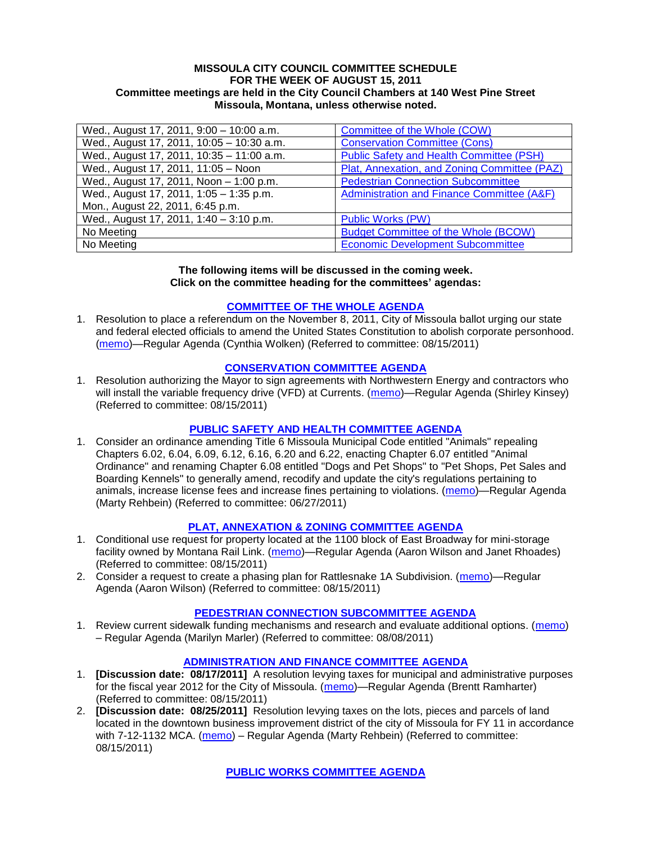#### **MISSOULA CITY COUNCIL COMMITTEE SCHEDULE FOR THE WEEK OF AUGUST 15, 2011 Committee meetings are held in the City Council Chambers at 140 West Pine Street Missoula, Montana, unless otherwise noted.**

| Wed., August 17, 2011, 9:00 - 10:00 a.m.  | Committee of the Whole (COW)                    |
|-------------------------------------------|-------------------------------------------------|
| Wed., August 17, 2011, 10:05 - 10:30 a.m. | <b>Conservation Committee (Cons)</b>            |
| Wed., August 17, 2011, 10:35 - 11:00 a.m. | <b>Public Safety and Health Committee (PSH)</b> |
| Wed., August 17, 2011, 11:05 - Noon       | Plat, Annexation, and Zoning Committee (PAZ)    |
| Wed., August 17, 2011, Noon - 1:00 p.m.   | <b>Pedestrian Connection Subcommittee</b>       |
| Wed., August 17, 2011, 1:05 - 1:35 p.m.   | Administration and Finance Committee (A&F)      |
| Mon., August 22, 2011, 6:45 p.m.          |                                                 |
| Wed., August 17, 2011, 1:40 - 3:10 p.m.   | <b>Public Works (PW)</b>                        |
| No Meeting                                | <b>Budget Committee of the Whole (BCOW)</b>     |
| No Meeting                                | <b>Economic Development Subcommittee</b>        |

#### **The following items will be discussed in the coming week. Click on the committee heading for the committees' agendas:**

# **[COMMITTEE OF THE WHOLE AGENDA](http://www.ci.missoula.mt.us/DocumentCenterii.aspx?FID=834)**

1. Resolution to place a referendum on the November 8, 2011, City of Missoula ballot urging our state and federal elected officials to amend the United States Constitution to abolish corporate personhood. [\(memo\)](http://www.ci.missoula.mt.us/DocumentView.aspx?DID=7074)—Regular Agenda (Cynthia Wolken) (Referred to committee: 08/15/2011)

# **[CONSERVATION COMMITTEE AGENDA](http://www.ci.missoula.mt.us/DocumentCenterii.aspx?FID=832)**

1. Resolution authorizing the Mayor to sign agreements with Northwestern Energy and contractors who will install the variable frequency drive (VFD) at Currents. [\(memo\)](http://www.ci.missoula.mt.us/DocumentView.aspx?DID=7064)—Regular Agenda (Shirley Kinsey) (Referred to committee: 08/15/2011)

# **[PUBLIC SAFETY AND HEALTH COMMITTEE AGENDA](http://www.ci.missoula.mt.us/DocumentCenterii.aspx?FID=836)**

1. Consider an ordinance amending Title 6 Missoula Municipal Code entitled "Animals" repealing Chapters 6.02, 6.04, 6.09, 6.12, 6.16, 6.20 and 6.22, enacting Chapter 6.07 entitled "Animal Ordinance" and renaming Chapter 6.08 entitled "Dogs and Pet Shops" to "Pet Shops, Pet Sales and Boarding Kennels" to generally amend, recodify and update the city's regulations pertaining to animals, increase license fees and increase fines pertaining to violations. [\(memo\)](http://www.ci.missoula.mt.us/DocumentView.aspx?DID=6698)—Regular Agenda (Marty Rehbein) (Referred to committee: 06/27/2011)

# **[PLAT, ANNEXATION & ZONING COMMITTEE AGENDA](http://www.ci.missoula.mt.us/DocumentCenterii.aspx?FID=831)**

- 1. Conditional use request for property located at the 1100 block of East Broadway for mini-storage facility owned by Montana Rail Link. [\(memo\)](http://www.ci.missoula.mt.us/DocumentView.aspx?DID=7067)—Regular Agenda (Aaron Wilson and Janet Rhoades) (Referred to committee: 08/15/2011)
- 2. Consider a request to create a phasing plan for Rattlesnake 1A Subdivision. [\(memo\)](http://www.ci.missoula.mt.us/DocumentView.aspx?DID=7072)—Regular Agenda (Aaron Wilson) (Referred to committee: 08/15/2011)

# **[PEDESTRIAN CONNECTION SUBCOMMITTEE AGENDA](http://www.ci.missoula.mt.us/DocumentCenterii.aspx?FID=845)**

1. Review current sidewalk funding mechanisms and research and evaluate additional options. [\(memo\)](http://www.ci.missoula.mt.us/DocumentView.aspx?DID=7017) – Regular Agenda (Marilyn Marler) (Referred to committee: 08/08/2011)

# **[ADMINISTRATION AND FINANCE COMMITTEE](http://www.ci.missoula.mt.us/DocumentCenterii.aspx?FID=830) AGENDA**

- 1. **[Discussion date: 08/17/2011]** A resolution levying taxes for municipal and administrative purposes for the fiscal year 2012 for the City of Missoula. [\(memo\)](http://www.ci.missoula.mt.us/DocumentView.aspx?DID=7070)—Regular Agenda (Brentt Ramharter) (Referred to committee: 08/15/2011)
- 2. **[Discussion date: 08/25/2011]** Resolution levying taxes on the lots, pieces and parcels of land located in the downtown business improvement district of the city of Missoula for FY 11 in accordance with 7-12-1132 MCA. [\(memo\)](http://www.ci.missoula.mt.us/DocumentView.aspx?DID=7066) – Regular Agenda (Marty Rehbein) (Referred to committee: 08/15/2011)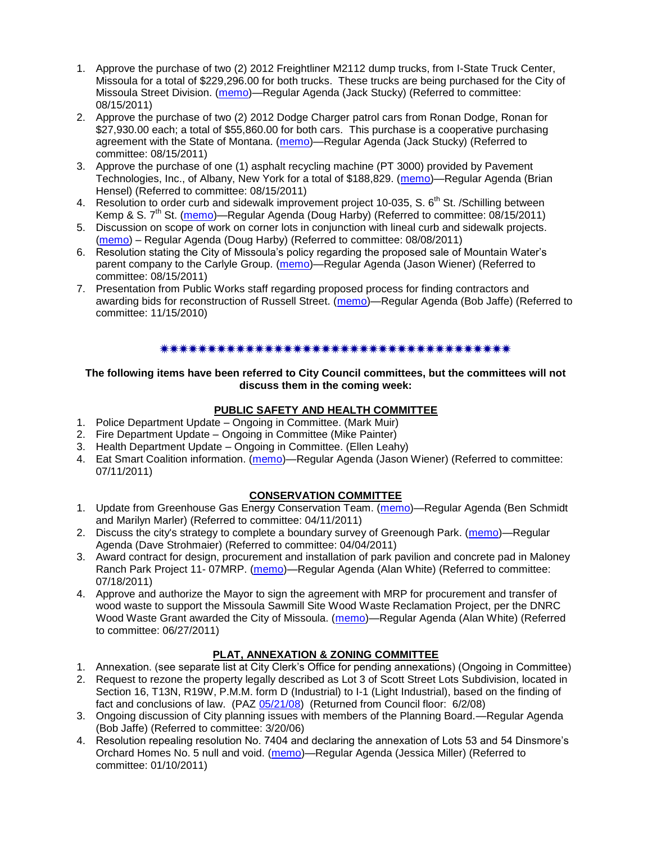- 1. Approve the purchase of two (2) 2012 Freightliner M2112 dump trucks, from I-State Truck Center, Missoula for a total of \$229,296.00 for both trucks. These trucks are being purchased for the City of Missoula Street Division. [\(memo\)](http://www.ci.missoula.mt.us/DocumentView.aspx?DID=7065)—Regular Agenda (Jack Stucky) (Referred to committee: 08/15/2011)
- 2. Approve the purchase of two (2) 2012 Dodge Charger patrol cars from Ronan Dodge, Ronan for \$27,930.00 each; a total of \$55,860.00 for both cars. This purchase is a cooperative purchasing agreement with the State of Montana. [\(memo\)](http://www.ci.missoula.mt.us/DocumentView.aspx?DID=7068)—Regular Agenda (Jack Stucky) (Referred to committee: 08/15/2011)
- 3. Approve the purchase of one (1) asphalt recycling machine (PT 3000) provided by Pavement Technologies, Inc., of Albany, New York for a total of \$188,829. [\(memo\)](http://www.ci.missoula.mt.us/DocumentView.aspx?DID=7071)—Regular Agenda (Brian Hensel) (Referred to committee: 08/15/2011)
- 4. Resolution to order curb and sidewalk improvement project 10-035, S. 6<sup>th</sup> St. / Schilling between Kemp & S.  $7<sup>th</sup>$  St. [\(memo\)](http://www.ci.missoula.mt.us/DocumentView.aspx?DID=7069)—Regular Agenda (Doug Harby) (Referred to committee: 08/15/2011)
- 5. Discussion on scope of work on corner lots in conjunction with lineal curb and sidewalk projects. [\(memo\)](http://www.ci.missoula.mt.us/DocumentView.aspx?DID=7016) – Regular Agenda (Doug Harby) (Referred to committee: 08/08/2011)
- 6. Resolution stating the City of Missoula's policy regarding the proposed sale of Mountain Water's parent company to the Carlyle Group. [\(memo\)](http://www.ci.missoula.mt.us/DocumentView.aspx?DID=7078)—Regular Agenda (Jason Wiener) (Referred to committee: 08/15/2011)
- 7. Presentation from Public Works staff regarding proposed process for finding contractors and awarding bids for reconstruction of Russell Street. [\(memo\)](http://www.ci.missoula.mt.us/DocumentView.aspx?DID=5042)—Regular Agenda (Bob Jaffe) (Referred to committee: 11/15/2010)

#### \*\*\*\*\*\*\*\*\*\*\*\*\*\*\*\*\*\*\*\*\*\*\*\*\*\*\*\*\*\*\*\*\*\*

#### **The following items have been referred to City Council committees, but the committees will not discuss them in the coming week:**

# **PUBLIC SAFETY AND HEALTH COMMITTEE**

- 1. Police Department Update Ongoing in Committee. (Mark Muir)
- 2. Fire Department Update Ongoing in Committee (Mike Painter)
- 3. Health Department Update Ongoing in Committee. (Ellen Leahy)
- 4. Eat Smart Coalition information. [\(memo\)](http://www.ci.missoula.mt.us/DocumentView.aspx?DID=6776)—Regular Agenda (Jason Wiener) (Referred to committee: 07/11/2011)

# **CONSERVATION COMMITTEE**

- 1. Update from Greenhouse Gas Energy Conservation Team. [\(memo\)](http://www.ci.missoula.mt.us/DocumentView.aspx?DID=5945)—Regular Agenda (Ben Schmidt and Marilyn Marler) (Referred to committee: 04/11/2011)
- 2. Discuss the city's strategy to complete a boundary survey of Greenough Park. [\(memo\)](http://www.ci.missoula.mt.us/DocumentView.aspx?DID=5875)—Regular Agenda (Dave Strohmaier) (Referred to committee: 04/04/2011)
- 3. Award contract for design, procurement and installation of park pavilion and concrete pad in Maloney Ranch Park Project 11- 07MRP. [\(memo\)](http://www.ci.missoula.mt.us/DocumentView.aspx?DID=6859)—Regular Agenda (Alan White) (Referred to committee: 07/18/2011)
- 4. Approve and authorize the Mayor to sign the agreement with MRP for procurement and transfer of wood waste to support the Missoula Sawmill Site Wood Waste Reclamation Project, per the DNRC Wood Waste Grant awarded the City of Missoula. [\(memo\)](http://www.ci.missoula.mt.us/DocumentView.aspx?DID=6682)—Regular Agenda (Alan White) (Referred to committee: 06/27/2011)

# **PLAT, ANNEXATION & ZONING COMMITTEE**

- 1. Annexation. (see separate list at City Clerk's Office for pending annexations) (Ongoing in Committee)
- 2. Request to rezone the property legally described as Lot 3 of Scott Street Lots Subdivision, located in Section 16, T13N, R19W, P.M.M. form D (Industrial) to I-1 (Light Industrial), based on the finding of fact and conclusions of law. (PAZ [05/21/08\)](ftp://ftp.ci.missoula.mt.us/Packets/Council/2008/2008-06-02/080521paz.pdf) (Returned from Council floor: 6/2/08)
- 3. Ongoing discussion of City planning issues with members of the Planning Board.—Regular Agenda (Bob Jaffe) (Referred to committee: 3/20/06)
- 4. Resolution repealing resolution No. 7404 and declaring the annexation of Lots 53 and 54 Dinsmore's Orchard Homes No. 5 null and void. [\(memo\)](http://www.ci.missoula.mt.us/DocumentView.aspx?DID=5349)—Regular Agenda (Jessica Miller) (Referred to committee: 01/10/2011)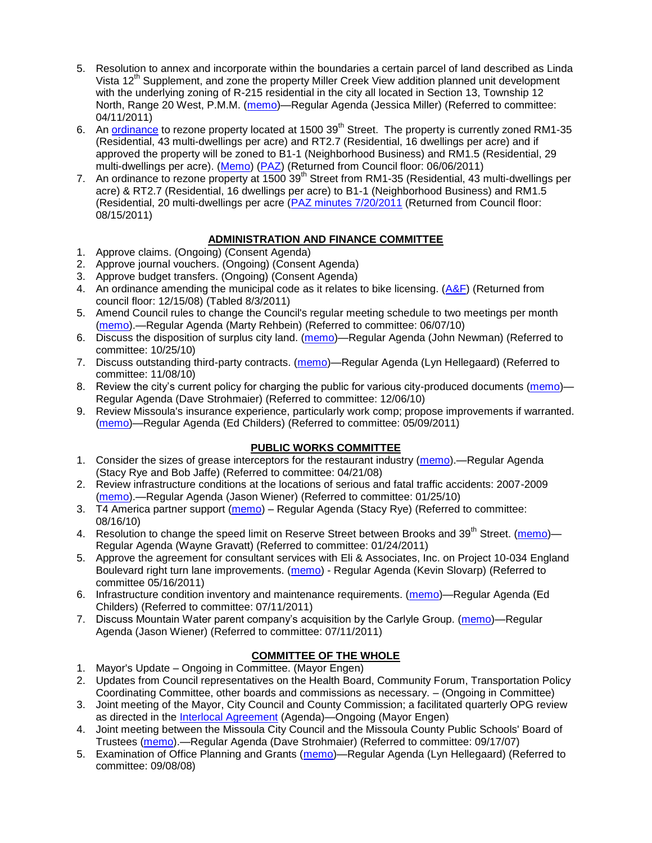- 5. Resolution to annex and incorporate within the boundaries a certain parcel of land described as Linda Vista 12<sup>th</sup> Supplement, and zone the property Miller Creek View addition planned unit development with the underlying zoning of R-215 residential in the city all located in Section 13, Township 12 North, Range 20 West, P.M.M. [\(memo\)](http://www.ci.missoula.mt.us/DocumentView.aspx?DID=5992)—Regular Agenda (Jessica Miller) (Referred to committee: 04/11/2011)
- 6. An [ordinance](http://www.ci.missoula.mt.us/DocumentView.aspx?DID=6463) to rezone property located at 1500 39<sup>th</sup> Street. The property is currently zoned RM1-35 (Residential, 43 multi-dwellings per acre) and RT2.7 (Residential, 16 dwellings per acre) and if approved the property will be zoned to B1-1 (Neighborhood Business) and RM1.5 (Residential, 29 multi-dwellings per acre). [\(Memo\)](http://www.ci.missoula.mt.us/DocumentView.aspx?DID=6469) [\(PAZ\)](http://www.ci.missoula.mt.us/Archive.aspx?ADID=4010) (Returned from Council floor: 06/06/2011)
- 7. An ordinance to rezone property at 1500 39<sup>th</sup> Street from RM1-35 (Residential, 43 multi-dwellings per acre) & RT2.7 (Residential, 16 dwellings per acre) to B1-1 (Neighborhood Business) and RM1.5 (Residential, 20 multi-dwellings per acre [\(PAZ minutes 7/20/2011](http://www.ci.missoula.mt.us/Archive.aspx?ADID=4214) (Returned from Council floor: 08/15/2011)

# **ADMINISTRATION AND FINANCE COMMITTEE**

- 1. Approve claims. (Ongoing) (Consent Agenda)
- 2. Approve journal vouchers. (Ongoing) (Consent Agenda)
- 3. Approve budget transfers. (Ongoing) (Consent Agenda)
- 4. An ordinance amending the municipal code as it relates to bike licensing. [\(A&F\)](ftp://ftp.ci.missoula.mt.us/Packets/Council/2008/2008-12-15/081210af.pdf) (Returned from council floor: 12/15/08) (Tabled 8/3/2011)
- 5. Amend Council rules to change the Council's regular meeting schedule to two meetings per month [\(memo\)](http://www.ci.missoula.mt.us/DocumentView.aspx?DID=4027).—Regular Agenda (Marty Rehbein) (Referred to committee: 06/07/10)
- 6. Discuss the disposition of surplus city land. [\(memo\)](http://www.ci.missoula.mt.us/DocumentView.aspx?DID=4862)—Regular Agenda (John Newman) (Referred to committee: 10/25/10)
- 7. Discuss outstanding third-party contracts. [\(memo\)](http://www.ci.missoula.mt.us/DocumentView.aspx?DID=4956)—Regular Agenda (Lyn Hellegaard) (Referred to committee: 11/08/10)
- 8. Review the city's current policy for charging the public for various city-produced documents [\(memo\)](http://www.ci.missoula.mt.us/DocumentView.aspx?DID=5143) Regular Agenda (Dave Strohmaier) (Referred to committee: 12/06/10)
- 9. Review Missoula's insurance experience, particularly work comp; propose improvements if warranted. [\(memo\)](http://www.ci.missoula.mt.us/DocumentView.aspx?DID=6381)—Regular Agenda (Ed Childers) (Referred to committee: 05/09/2011)

# **PUBLIC WORKS COMMITTEE**

- 1. Consider the sizes of grease interceptors for the restaurant industry [\(memo\)](ftp://ftp.ci.missoula.mt.us/Packets/Council/2008/2008-04-21/Referrals/Industrial_waste_restaurants.pdf).—Regular Agenda (Stacy Rye and Bob Jaffe) (Referred to committee: 04/21/08)
- 2. Review infrastructure conditions at the locations of serious and fatal traffic accidents: 2007-2009 [\(memo\)](http://www.ci.missoula.mt.us/DocumentView.aspx?DID=3031).—Regular Agenda (Jason Wiener) (Referred to committee: 01/25/10)
- 3. T4 America partner support [\(memo\)](http://www.ci.missoula.mt.us/DocumentView.aspx?DID=4452) Regular Agenda (Stacy Rye) (Referred to committee: 08/16/10)
- 4. Resolution to change the speed limit on Reserve Street between Brooks and 39<sup>th</sup> Street. [\(memo\)](http://www.ci.missoula.mt.us/DocumentView.aspx?DID=5418)-Regular Agenda (Wayne Gravatt) (Referred to committee: 01/24/2011)
- 5. Approve the agreement for consultant services with Eli & Associates, Inc. on Project 10-034 England Boulevard right turn lane improvements. [\(memo\)](http://www.ci.missoula.mt.us/DocumentView.aspx?DID=6419) - Regular Agenda (Kevin Slovarp) (Referred to committee 05/16/2011)
- 6. Infrastructure condition inventory and maintenance requirements. [\(memo\)](http://www.ci.missoula.mt.us/DocumentView.aspx?DID=6751)—Regular Agenda (Ed Childers) (Referred to committee: 07/11/2011)
- 7. Discuss Mountain Water parent company's acquisition by the Carlyle Group. [\(memo\)](http://www.ci.missoula.mt.us/DocumentView.aspx?DID=6777)—Regular Agenda (Jason Wiener) (Referred to committee: 07/11/2011)

# **COMMITTEE OF THE WHOLE**

- 1. Mayor's Update Ongoing in Committee. (Mayor Engen)
- 2. Updates from Council representatives on the Health Board, Community Forum, Transportation Policy Coordinating Committee, other boards and commissions as necessary. – (Ongoing in Committee)
- 3. Joint meeting of the Mayor, City Council and County Commission; a facilitated quarterly OPG review as directed in the [Interlocal Agreement](ftp://ftp.ci.missoula.mt.us/Documents/Mayor/OPG/Adopted-ILA-2005.pdf) (Agenda)—Ongoing (Mayor Engen)
- 4. Joint meeting between the Missoula City Council and the Missoula County Public Schools' Board of Trustees [\(memo\)](ftp://ftp.ci.missoula.mt.us/Packets/Council/2007/2007-09-17/Referrals/Council_School_Board_referral.pdf).—Regular Agenda (Dave Strohmaier) (Referred to committee: 09/17/07)
- 5. Examination of Office Planning and Grants [\(memo\)](ftp://ftp.ci.missoula.mt.us/Packets/Council/2008/2008-09-08/Referrals/080825HendricksonOPGreferral.pdf)—Regular Agenda (Lyn Hellegaard) (Referred to committee: 09/08/08)